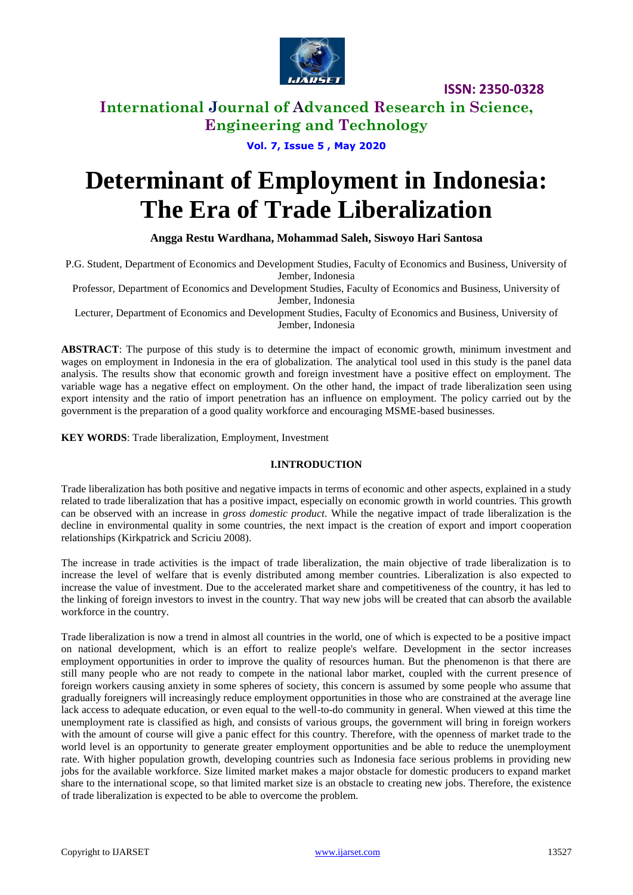

# **International Journal of Advanced Research in Science, Engineering and Technology**

### **Vol. 7, Issue 5 , May 2020**

# **Determinant of Employment in Indonesia: The Era of Trade Liberalization**

### **Angga Restu Wardhana, Mohammad Saleh, Siswoyo Hari Santosa**

P.G. Student, Department of Economics and Development Studies, Faculty of Economics and Business, University of Jember, Indonesia

Professor, Department of Economics and Development Studies, Faculty of Economics and Business, University of Jember, Indonesia

Lecturer, Department of Economics and Development Studies, Faculty of Economics and Business, University of Jember, Indonesia

**ABSTRACT**: The purpose of this study is to determine the impact of economic growth, minimum investment and wages on employment in Indonesia in the era of globalization. The analytical tool used in this study is the panel data analysis. The results show that economic growth and foreign investment have a positive effect on employment. The variable wage has a negative effect on employment. On the other hand, the impact of trade liberalization seen using export intensity and the ratio of import penetration has an influence on employment. The policy carried out by the government is the preparation of a good quality workforce and encouraging MSME-based businesses.

**KEY WORDS**: Trade liberalization, Employment, Investment

### **I.INTRODUCTION**

Trade liberalization has both positive and negative impacts in terms of economic and other aspects, explained in a study related to trade liberalization that has a positive impact, especially on economic growth in world countries. This growth can be observed with an increase in *gross domestic product*. While the negative impact of trade liberalization is the decline in environmental quality in some countries, the next impact is the creation of export and import cooperation relationships (Kirkpatrick and Scriciu 2008).

The increase in trade activities is the impact of trade liberalization, the main objective of trade liberalization is to increase the level of welfare that is evenly distributed among member countries. Liberalization is also expected to increase the value of investment. Due to the accelerated market share and competitiveness of the country, it has led to the linking of foreign investors to invest in the country. That way new jobs will be created that can absorb the available workforce in the country.

Trade liberalization is now a trend in almost all countries in the world, one of which is expected to be a positive impact on national development, which is an effort to realize people's welfare. Development in the sector increases employment opportunities in order to improve the quality of resources human. But the phenomenon is that there are still many people who are not ready to compete in the national labor market, coupled with the current presence of foreign workers causing anxiety in some spheres of society, this concern is assumed by some people who assume that gradually foreigners will increasingly reduce employment opportunities in those who are constrained at the average line lack access to adequate education, or even equal to the well-to-do community in general. When viewed at this time the unemployment rate is classified as high, and consists of various groups, the government will bring in foreign workers with the amount of course will give a panic effect for this country. Therefore, with the openness of market trade to the world level is an opportunity to generate greater employment opportunities and be able to reduce the unemployment rate. With higher population growth, developing countries such as Indonesia face serious problems in providing new jobs for the available workforce. Size limited market makes a major obstacle for domestic producers to expand market share to the international scope, so that limited market size is an obstacle to creating new jobs. Therefore, the existence of trade liberalization is expected to be able to overcome the problem.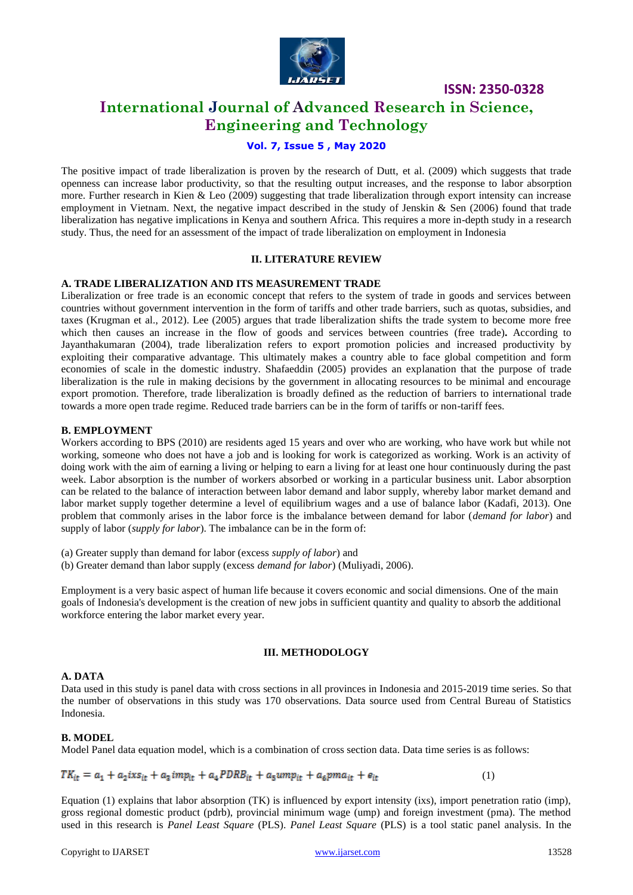

# **International Journal of Advanced Research in Science, Engineering and Technology**

### **Vol. 7, Issue 5 , May 2020**

The positive impact of trade liberalization is proven by the research of Dutt, et al. (2009) which suggests that trade openness can increase labor productivity, so that the resulting output increases, and the response to labor absorption more. Further research in Kien & Leo (2009) suggesting that trade liberalization through export intensity can increase employment in Vietnam. Next, the negative impact described in the study of Jenskin & Sen (2006) found that trade liberalization has negative implications in Kenya and southern Africa. This requires a more in-depth study in a research study. Thus, the need for an assessment of the impact of trade liberalization on employment in Indonesia

### **II. LITERATURE REVIEW**

### **A. TRADE LIBERALIZATION AND ITS MEASUREMENT TRADE**

Liberalization or free trade is an economic concept that refers to the system of trade in goods and services between countries without government intervention in the form of tariffs and other trade barriers, such as quotas, subsidies, and taxes (Krugman et al., 2012). Lee (2005) argues that trade liberalization shifts the trade system to become more free which then causes an increase in the flow of goods and services between countries (free trade)**.** According to Jayanthakumaran (2004), trade liberalization refers to export promotion policies and increased productivity by exploiting their comparative advantage. This ultimately makes a country able to face global competition and form economies of scale in the domestic industry. Shafaeddin (2005) provides an explanation that the purpose of trade liberalization is the rule in making decisions by the government in allocating resources to be minimal and encourage export promotion. Therefore, trade liberalization is broadly defined as the reduction of barriers to international trade towards a more open trade regime. Reduced trade barriers can be in the form of tariffs or non-tariff fees.

### **B. EMPLOYMENT**

Workers according to BPS (2010) are residents aged 15 years and over who are working, who have work but while not working, someone who does not have a job and is looking for work is categorized as working. Work is an activity of doing work with the aim of earning a living or helping to earn a living for at least one hour continuously during the past week. Labor absorption is the number of workers absorbed or working in a particular business unit. Labor absorption can be related to the balance of interaction between labor demand and labor supply, whereby labor market demand and labor market supply together determine a level of equilibrium wages and a use of balance labor (Kadafi, 2013). One problem that commonly arises in the labor force is the imbalance between demand for labor (*demand for labor*) and supply of labor (*supply for labor*). The imbalance can be in the form of:

(a) Greater supply than demand for labor (excess *supply of labor*) and

(b) Greater demand than labor supply (excess *demand for labor*) (Muliyadi, 2006).

Employment is a very basic aspect of human life because it covers economic and social dimensions. One of the main goals of Indonesia's development is the creation of new jobs in sufficient quantity and quality to absorb the additional workforce entering the labor market every year.

### **III. METHODOLOGY**

### **A. DATA**

Data used in this study is panel data with cross sections in all provinces in Indonesia and 2015-2019 time series. So that the number of observations in this study was 170 observations. Data source used from Central Bureau of Statistics Indonesia.

### **B. MODEL**

Model Panel data equation model, which is a combination of cross section data. Data time series is as follows:

$$
TK_{it} = a_1 + a_2ixs_{it} + a_3imp_{it} + a_4PDRB_{it} + a_5ump_{it} + a_6pma_{it} + e_{it}
$$
 (1)

Equation (1) explains that labor absorption (TK) is influenced by export intensity (ixs), import penetration ratio (imp), gross regional domestic product (pdrb), provincial minimum wage (ump) and foreign investment (pma). The method used in this research is *Panel Least Square* (PLS). *Panel Least Square* (PLS) is a tool static panel analysis. In the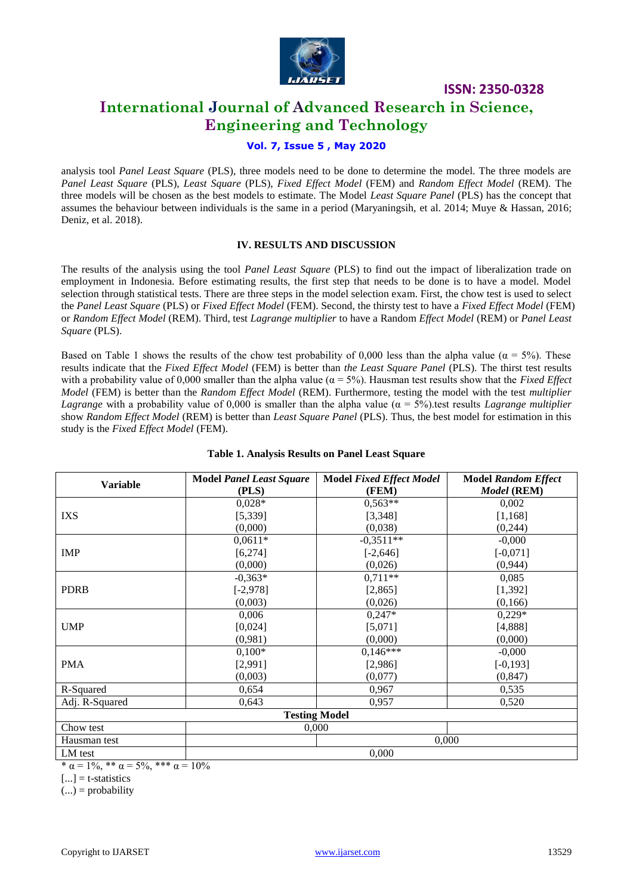

# **International Journal of Advanced Research in Science, Engineering and Technology**

### **Vol. 7, Issue 5 , May 2020**

analysis tool *Panel Least Square* (PLS), three models need to be done to determine the model. The three models are *Panel Least Square* (PLS), *Least Square* (PLS), *Fixed Effect Model* (FEM) and *Random Effect Model* (REM). The three models will be chosen as the best models to estimate. The Model *Least Square Panel* (PLS) has the concept that assumes the behaviour between individuals is the same in a period (Maryaningsih, et al. 2014; Muye & Hassan, 2016; Deniz, et al. 2018).

### **IV. RESULTS AND DISCUSSION**

The results of the analysis using the tool *Panel Least Square* (PLS) to find out the impact of liberalization trade on employment in Indonesia. Before estimating results, the first step that needs to be done is to have a model. Model selection through statistical tests. There are three steps in the model selection exam. First, the chow test is used to select the *Panel Least Square* (PLS) or *Fixed Effect Model* (FEM). Second, the thirsty test to have a *Fixed Effect Model* (FEM) or *Random Effect Model* (REM). Third, test *Lagrange multiplier* to have a Random *Effect Model* (REM) or *Panel Least Square* (PLS).

Based on Table 1 shows the results of the chow test probability of 0,000 less than the alpha value ( $\alpha = 5\%$ ). These results indicate that the *Fixed Effect Model* (FEM) is better than *the Least Square Panel* (PLS). The thirst test results with a probability value of 0,000 smaller than the alpha value ( $\alpha = 5\%$ ). Hausman test results show that the *Fixed Effect Model* (FEM) is better than the *Random Effect Model* (REM). Furthermore, testing the model with the test *multiplier Lagrange* with a probability value of 0,000 is smaller than the alpha value ( $\alpha = 5\%$ ) test results *Lagrange multiplier* show *Random Effect Model* (REM) is better than *Least Square Panel* (PLS). Thus, the best model for estimation in this study is the *Fixed Effect Model* (FEM).

| <b>Variable</b>      | <b>Model Panel Least Square</b> | <b>Model Fixed Effect Model</b> | <b>Model Random Effect</b> |
|----------------------|---------------------------------|---------------------------------|----------------------------|
|                      | (PLS)                           | (FEM)                           | Model (REM)                |
|                      | $0,028*$                        | $0,563**$                       | 0,002                      |
| IXS                  | [5, 339]                        | [3,348]                         | [1, 168]                   |
|                      | (0,000)                         | (0,038)                         | (0,244)                    |
|                      | $0,0611*$                       | $-0.3511**$                     | $-0,000$                   |
| <b>IMP</b>           | [6, 274]                        | $[-2,646]$                      | $[-0,071]$                 |
|                      | (0,000)                         | (0,026)                         | (0,944)                    |
|                      | $-0,363*$                       | $0,711**$                       | 0,085                      |
| <b>PDRB</b>          | $[-2, 978]$                     | [2,865]                         | [1,392]                    |
|                      | (0,003)                         | (0,026)                         | (0,166)                    |
|                      | 0,006                           | $0,247*$                        | $0,229*$                   |
| <b>UMP</b>           | [0,024]                         | [5,071]                         | [4,888]                    |
|                      | (0,981)                         | (0,000)                         | (0,000)                    |
|                      | $0,100*$                        | $0,146***$                      | $-0,000$                   |
| <b>PMA</b>           | [2,991]                         | [2,986]                         | $[-0, 193]$                |
|                      | (0,003)                         | (0,077)                         | (0, 847)                   |
| R-Squared            | 0,654                           | 0,967                           | 0,535                      |
| Adj. R-Squared       | 0,643                           | 0,957                           | 0,520                      |
| <b>Testing Model</b> |                                 |                                 |                            |
| Chow test            | 0,000                           |                                 |                            |
| Hausman test         | 0,000                           |                                 |                            |
| LM test              | 0,000                           |                                 |                            |

### **Table 1. Analysis Results on Panel Least Square**

 $*\alpha = 1\%$ ,  $*\ast \alpha = 5\%$ ,  $** \alpha = 10\%$ 

 $[...]$  = t-statistics

 $(...)$  = probability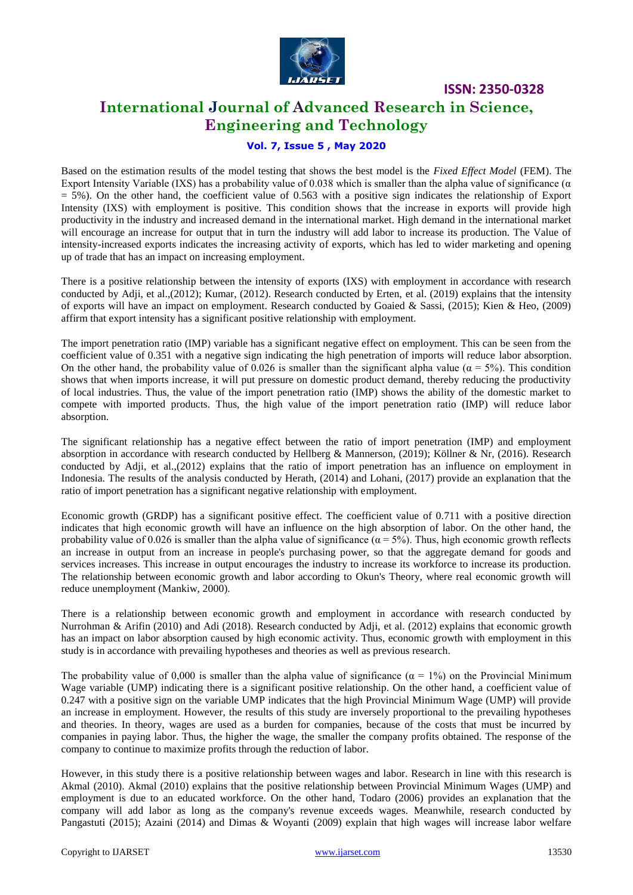

# **International Journal of Advanced Research in Science, Engineering and Technology**

### **Vol. 7, Issue 5 , May 2020**

Based on the estimation results of the model testing that shows the best model is the *Fixed Effect Model* (FEM). The Export Intensity Variable (IXS) has a probability value of 0.038 which is smaller than the alpha value of significance ( $\alpha$ )  $= 5\%$ ). On the other hand, the coefficient value of 0.563 with a positive sign indicates the relationship of Export Intensity (IXS) with employment is positive. This condition shows that the increase in exports will provide high productivity in the industry and increased demand in the international market. High demand in the international market will encourage an increase for output that in turn the industry will add labor to increase its production. The Value of intensity-increased exports indicates the increasing activity of exports, which has led to wider marketing and opening up of trade that has an impact on increasing employment.

There is a positive relationship between the intensity of exports (IXS) with employment in accordance with research conducted by Adji, et al.,(2012); Kumar, (2012). Research conducted by Erten, et al. (2019) explains that the intensity of exports will have an impact on employment. Research conducted by Goaied & Sassi, (2015); Kien & Heo, (2009) affirm that export intensity has a significant positive relationship with employment.

The import penetration ratio (IMP) variable has a significant negative effect on employment. This can be seen from the coefficient value of 0.351 with a negative sign indicating the high penetration of imports will reduce labor absorption. On the other hand, the probability value of 0.026 is smaller than the significant alpha value ( $\alpha = 5\%$ ). This condition shows that when imports increase, it will put pressure on domestic product demand, thereby reducing the productivity of local industries. Thus, the value of the import penetration ratio (IMP) shows the ability of the domestic market to compete with imported products. Thus, the high value of the import penetration ratio (IMP) will reduce labor absorption.

The significant relationship has a negative effect between the ratio of import penetration (IMP) and employment absorption in accordance with research conducted by Hellberg & Mannerson, (2019); Köllner & Nr, (2016). Research conducted by Adji, et al.,(2012) explains that the ratio of import penetration has an influence on employment in Indonesia. The results of the analysis conducted by Herath, (2014) and Lohani, (2017) provide an explanation that the ratio of import penetration has a significant negative relationship with employment.

Economic growth (GRDP) has a significant positive effect. The coefficient value of 0.711 with a positive direction indicates that high economic growth will have an influence on the high absorption of labor. On the other hand, the probability value of 0.026 is smaller than the alpha value of significance ( $\alpha = 5\%$ ). Thus, high economic growth reflects an increase in output from an increase in people's purchasing power, so that the aggregate demand for goods and services increases. This increase in output encourages the industry to increase its workforce to increase its production. The relationship between economic growth and labor according to Okun's Theory, where real economic growth will reduce unemployment (Mankiw, 2000).

There is a relationship between economic growth and employment in accordance with research conducted by Nurrohman & Arifin (2010) and Adi (2018). Research conducted by Adji, et al. (2012) explains that economic growth has an impact on labor absorption caused by high economic activity. Thus, economic growth with employment in this study is in accordance with prevailing hypotheses and theories as well as previous research.

The probability value of 0,000 is smaller than the alpha value of significance ( $\alpha = 1\%$ ) on the Provincial Minimum Wage variable (UMP) indicating there is a significant positive relationship. On the other hand, a coefficient value of 0.247 with a positive sign on the variable UMP indicates that the high Provincial Minimum Wage (UMP) will provide an increase in employment. However, the results of this study are inversely proportional to the prevailing hypotheses and theories. In theory, wages are used as a burden for companies, because of the costs that must be incurred by companies in paying labor. Thus, the higher the wage, the smaller the company profits obtained. The response of the company to continue to maximize profits through the reduction of labor.

However, in this study there is a positive relationship between wages and labor. Research in line with this research is Akmal (2010). Akmal (2010) explains that the positive relationship between Provincial Minimum Wages (UMP) and employment is due to an educated workforce. On the other hand, Todaro (2006) provides an explanation that the company will add labor as long as the company's revenue exceeds wages. Meanwhile, research conducted by Pangastuti (2015); Azaini (2014) and Dimas & Woyanti (2009) explain that high wages will increase labor welfare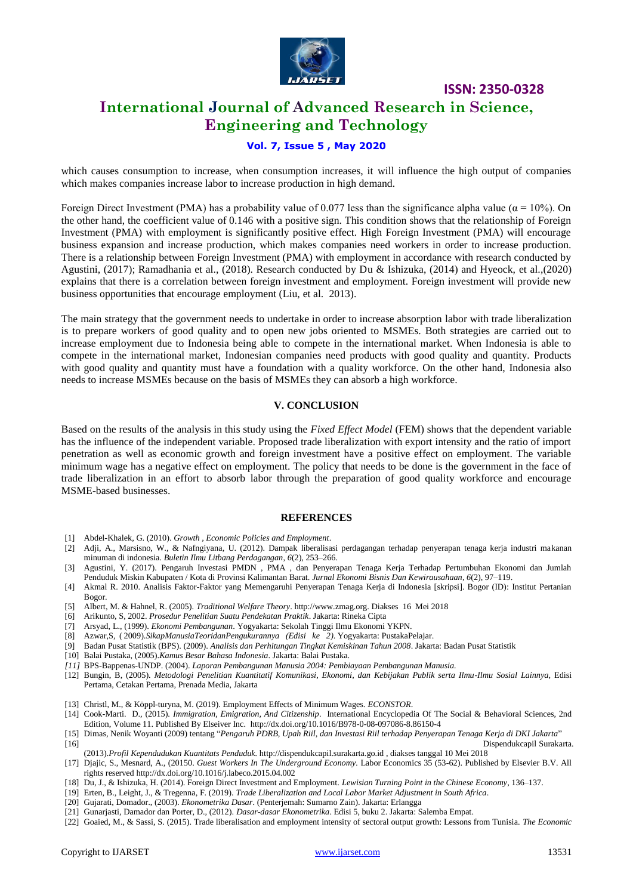

# **International Journal of Advanced Research in Science, Engineering and Technology**

### **Vol. 7, Issue 5 , May 2020**

which causes consumption to increase, when consumption increases, it will influence the high output of companies which makes companies increase labor to increase production in high demand.

Foreign Direct Investment (PMA) has a probability value of 0.077 less than the significance alpha value ( $α = 10%$ ). On the other hand, the coefficient value of 0.146 with a positive sign. This condition shows that the relationship of Foreign Investment (PMA) with employment is significantly positive effect. High Foreign Investment (PMA) will encourage business expansion and increase production, which makes companies need workers in order to increase production. There is a relationship between Foreign Investment (PMA) with employment in accordance with research conducted by Agustini, (2017); Ramadhania et al., (2018). Research conducted by Du & Ishizuka, (2014) and Hyeock, et al.,(2020) explains that there is a correlation between foreign investment and employment. Foreign investment will provide new business opportunities that encourage employment (Liu, et al. 2013).

The main strategy that the government needs to undertake in order to increase absorption labor with trade liberalization is to prepare workers of good quality and to open new jobs oriented to MSMEs. Both strategies are carried out to increase employment due to Indonesia being able to compete in the international market. When Indonesia is able to compete in the international market, Indonesian companies need products with good quality and quantity. Products with good quality and quantity must have a foundation with a quality workforce. On the other hand, Indonesia also needs to increase MSMEs because on the basis of MSMEs they can absorb a high workforce.

### **V. CONCLUSION**

Based on the results of the analysis in this study using the *Fixed Effect Model* (FEM) shows that the dependent variable has the influence of the independent variable. Proposed trade liberalization with export intensity and the ratio of import penetration as well as economic growth and foreign investment have a positive effect on employment. The variable minimum wage has a negative effect on employment. The policy that needs to be done is the government in the face of trade liberalization in an effort to absorb labor through the preparation of good quality workforce and encourage MSME-based businesses.

#### **REFERENCES**

- [1] Abdel-Khalek, G. (2010). *Growth , Economic Policies and Employment*.
- [2] Adji, A., Marsisno, W., & Nafngiyana, U. (2012). Dampak liberalisasi perdagangan terhadap penyerapan tenaga kerja industri makanan minuman di indonesia. *Buletin Ilmu Litbang Perdagangan*, *6*(2), 253–266.
- [3] Agustini, Y. (2017). Pengaruh Investasi PMDN , PMA , dan Penyerapan Tenaga Kerja Terhadap Pertumbuhan Ekonomi dan Jumlah Penduduk Miskin Kabupaten / Kota di Provinsi Kalimantan Barat. *Jurnal Ekonomi Bisnis Dan Kewirausahaan*, *6*(2), 97–119.
- [4] Akmal R. 2010. Analisis Faktor-Faktor yang Memengaruhi Penyerapan Tenaga Kerja di Indonesia [skripsi]. Bogor (ID): Institut Pertanian Bogor.
- [5] Albert, M. & Hahnel, R. (2005). *Traditional Welfare Theory*[. http://www.zmag.org.](http://www.zmag.org/) Diakses 16 Mei 2018
- [6] Arikunto, S, 2002. *Prosedur Penelitian Suatu Pendekatan Praktik*. Jakarta: Rineka Cipta
- [7] Arsyad, L., (1999). *Ekonomi Pembangunan*. Yogyakarta: Sekolah Tinggi Ilmu Ekonomi YKPN.
- [8] Azwar,S, ( 2009).*SikapManusiaTeoridanPengukurannya (Edisi ke 2)*. Yogyakarta: PustakaPelajar.
- [9] Badan Pusat Statistik (BPS). (2009). *Analisis dan Perhitungan Tingkat Kemiskinan Tahun 2008*. Jakarta: Badan Pusat Statistik
- [10] Balai Pustaka, (2005).*Kamus Besar Bahasa Indonesia*. Jakarta: Balai Pustaka.
- *[11]* BPS-Bappenas-UNDP. (2004). *Laporan Pembangunan Manusia 2004: Pembiayaan Pembangunan Manusia.*
- [12] Bungin, B, (2005). *Metodologi Penelitian Kuantitatif Komunikasi, Ekonomi, dan Kebijakan Publik serta Ilmu-Ilmu Sosial Lainnya,* Edisi Pertama, Cetakan Pertama, Prenada Media, Jakarta

[13] Christl, M., & Köppl-turyna, M. (2019). Employment Effects of Minimum Wages. *ECONSTOR*.

- [14] Cook-Marti. D., (2015). *Immigration, Emigration, And Citizenship*. International Encyclopedia Of The Social & Behavioral Sciences, 2nd Edition, Volume 11. Published By Elseiver Inc.<http://dx.doi.org/10.1016/B978-0-08-097086-8.86150-4>
- [15] Dimas, Nenik Woyanti (2009) tentang "*Pengaruh PDRB, Upah Riil, dan Investasi Riil terhadap Penyerapan Tenaga Kerja di DKI Jakarta*"
- [16] Dispendukcapil Surakarta. (2013).*Profil Kependudukan Kuantitats Penduduk.* [http://dispendukcapil.surakarta.go.id](http://dispendukcapil.surakarta.go.id/) , diakses tanggal 10 Mei 2018
- [17] Djajic, S., Mesnard, A., (20150. *Guest Workers In The Underground Economy.* Labor Economics 35 (53-62). Published by Elsevier B.V. All rights reserve[d http://dx.doi.org/10.1016/j.labeco.2015.04.002](http://dx.doi.org/10.1016/j.labeco.2015.04.002)
- [18] Du, J., & Ishizuka, H. (2014). Foreign Direct Investment and Employment. *Lewisian Turning Point in the Chinese Economy*, 136–137.
- [19] Erten, B., Leight, J., & Tregenna, F. (2019). *Trade Liberalization and Local Labor Market Adjustment in South Africa*.
- [20] Gujarati, Domador., (2003). *Ekonometrika Dasar*. (Penterjemah: Sumarno Zain). Jakarta: Erlangga
- [21] Gunarjasti, Damador dan Porter, D., (2012). *Dasar-dasar Ekonometrika*. Edisi 5, buku 2. Jakarta: Salemba Empat.
- [22] Goaied, M., & Sassi, S. (2015). Trade liberalisation and employment intensity of sectoral output growth: Lessons from Tunisia. *The Economic*